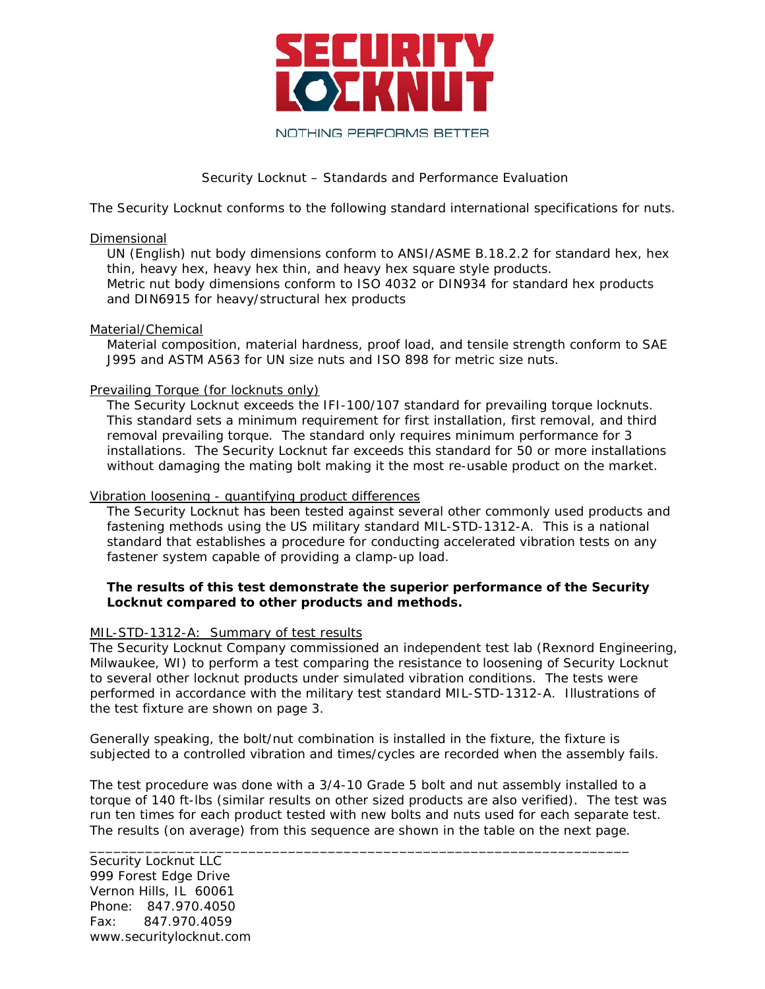

# Security Locknut – Standards and Performance Evaluation

The Security Locknut conforms to the following standard international specifications for nuts.

#### Dimensional

UN (English) nut body dimensions conform to ANSI/ASME B.18.2.2 for standard hex, hex thin, heavy hex, heavy hex thin, and heavy hex square style products. Metric nut body dimensions conform to ISO 4032 or DIN934 for standard hex products and DIN6915 for heavy/structural hex products

### Material/Chemical

Material composition, material hardness, proof load, and tensile strength conform to SAE J995 and ASTM A563 for UN size nuts and ISO 898 for metric size nuts.

## Prevailing Torque (for locknuts only)

The Security Locknut exceeds the IFI-100/107 standard for prevailing torque locknuts. This standard sets a minimum requirement for first installation, first removal, and third removal prevailing torque. The standard only requires minimum performance for 3 installations. The Security Locknut far exceeds this standard for 50 or more installations without damaging the mating bolt making it the most re-usable product on the market.

#### Vibration loosening - quantifying product differences

The Security Locknut has been tested against several other commonly used products and fastening methods using the US military standard MIL-STD-1312-A. This is a national standard that establishes a procedure for conducting accelerated vibration tests on any fastener system capable of providing a clamp-up load.

## **The results of this test demonstrate the superior performance of the Security Locknut compared to other products and methods.**

#### MIL-STD-1312-A: Summary of test results

The Security Locknut Company commissioned an independent test lab (Rexnord Engineering, Milwaukee, WI) to perform a test comparing the resistance to loosening of Security Locknut to several other locknut products under simulated vibration conditions. The tests were performed in accordance with the military test standard MIL-STD-1312-A. Illustrations of the test fixture are shown on page 3.

Generally speaking, the bolt/nut combination is installed in the fixture, the fixture is subjected to a controlled vibration and times/cycles are recorded when the assembly fails.

The test procedure was done with a 3/4-10 Grade 5 bolt and nut assembly installed to a torque of 140 ft-lbs (similar results on other sized products are also verified). The test was run ten times for each product tested with new bolts and nuts used for each separate test. The results (on average) from this sequence are shown in the table on the next page.

\_\_\_\_\_\_\_\_\_\_\_\_\_\_\_\_\_\_\_\_\_\_\_\_\_\_\_\_\_\_\_\_\_\_\_\_\_\_\_\_\_\_\_\_\_\_\_\_\_\_\_\_\_\_\_\_\_\_\_\_\_\_\_\_\_\_\_\_

Security Locknut LLC 999 Forest Edge Drive Vernon Hills, IL 60061 Phone: 847.970.4050 Fax: 847.970.4059 www.securitylocknut.com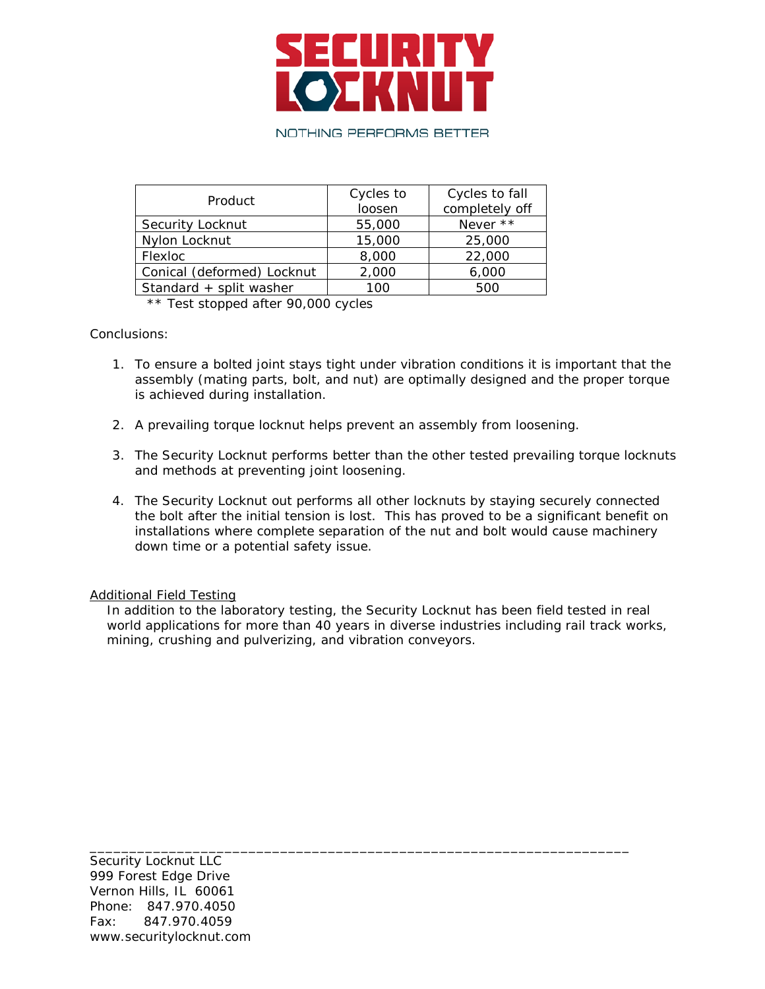

# NOTHING PERFORMS BETTER

| Product                    | Cycles to<br>loosen | Cycles to fall |
|----------------------------|---------------------|----------------|
|                            |                     | completely off |
| Security Locknut           | 55,000              | Never **       |
| Nylon Locknut              | 15,000              | 25,000         |
| Flexloc                    | 8,000               | 22,000         |
| Conical (deformed) Locknut | 2,000               | 6,000          |
| Standard + split washer    | 100                 | 500            |

\*\* Test stopped after 90,000 cycles

Conclusions:

- 1. To ensure a bolted joint stays tight under vibration conditions it is important that the assembly (mating parts, bolt, and nut) are optimally designed and the proper torque is achieved during installation.
- 2. A prevailing torque locknut helps prevent an assembly from loosening.
- 3. The Security Locknut performs better than the other tested prevailing torque locknuts and methods at preventing joint loosening.
- 4. The Security Locknut out performs all other locknuts by staying securely connected the bolt after the initial tension is lost. This has proved to be a significant benefit on installations where complete separation of the nut and bolt would cause machinery down time or a potential safety issue.

Additional Field Testing

In addition to the laboratory testing, the Security Locknut has been field tested in real world applications for more than 40 years in diverse industries including rail track works, mining, crushing and pulverizing, and vibration conveyors.

\_\_\_\_\_\_\_\_\_\_\_\_\_\_\_\_\_\_\_\_\_\_\_\_\_\_\_\_\_\_\_\_\_\_\_\_\_\_\_\_\_\_\_\_\_\_\_\_\_\_\_\_\_\_\_\_\_\_\_\_\_\_\_\_\_\_\_\_